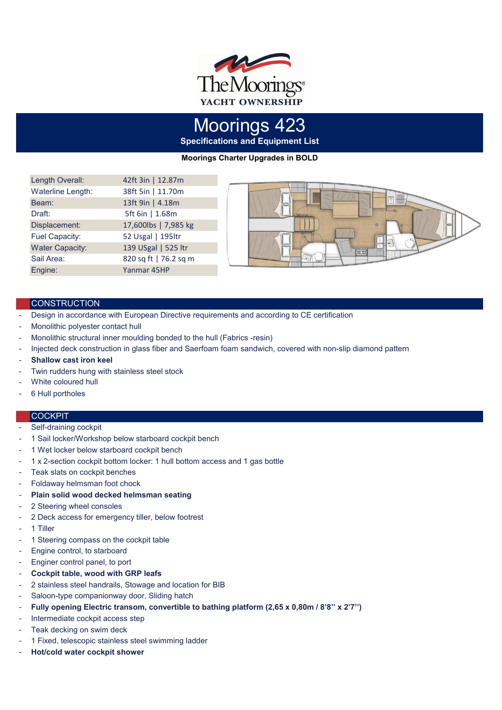

**Specifications and Equipment List** Moorings 423

**Moorings Charter Upgrades in BOLD**

| Length Overall:        | 42ft 3in   12.87m     |
|------------------------|-----------------------|
| Waterline Length:      | 38ft 5in   11.70m     |
| Beam:                  | 13ft 9in   4.18m      |
| Draft:                 | 5ft 6in   1.68m       |
| Displacement:          | 17,600lbs   7,985 kg  |
| Fuel Capacity:         | 52 Usgal   195ltr     |
| <b>Water Capacity:</b> | 139 USgal   525 ltr   |
| Sail Area:             | 820 sq ft   76.2 sq m |
| Engine:                | Yanmar 45HP           |



### **CONSTRUCTION**

- Design in accordance with European Directive requirements and according to CE certification
- Monolithic polyester contact hull
- Monolithic structural inner moulding bonded to the hull (Fabrics -resin)
- Injected deck construction in glass fiber and Saerfoam foam sandwich, covered with non-slip diamond pattern
- **Shallow cast iron keel**
- Twin rudders hung with stainless steel stock
- White coloured hull
- 6 Hull portholes

### **COCKPIT**

- Self-draining cockpit
- 1 Sail locker/Workshop below starboard cockpit bench
- 1 Wet locker below starboard cockpit bench
- 1 x 2-section cockpit bottom locker: 1 hull bottom access and 1 gas bottle
- Teak slats on cockpit benches
- Foldaway helmsman foot chock
- **Plain solid wood decked helmsman seating**
- 2 Steering wheel consoles
- 2 Deck access for emergency tiller, below footrest
- 1 Tiller
- 1 Steering compass on the cockpit table
- Engine control, to starboard
- Enginer control panel, to port
- **Cockpit table, wood with GRP leafs**
- 2 stainless steel handrails, Stowage and location for BIB
- Saloon-type companionway door, Sliding hatch
- **Fully opening Electric transom, convertible to bathing platform (2,65 x 0,80m / 8'8'' x 2'7'')**
- Intermediate cockpit access step
- Teak decking on swim deck
- 1 Fixed, telescopic stainless steel swimming ladder
- **Hot/cold water cockpit shower**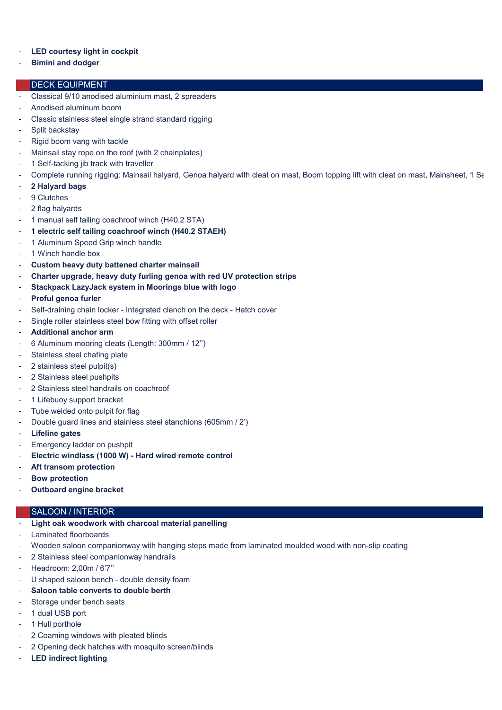# **LED courtesy light in cockpit**

- **Bimini and dodger**

## DECK EQUIPMENT

- Classical 9/10 anodised aluminium mast, 2 spreaders
- Anodised aluminum boom
- Classic stainless steel single strand standard rigging
- Split backstay
- Rigid boom vang with tackle
- Mainsail stay rope on the roof (with 2 chainplates)
- 1 Self-tacking jib track with traveller
- Complete running rigging: Mainsail halyard, Genoa halyard with cleat on mast, Boom topping lift with cleat on mast, Mainsheet, 1 Se
- **2 Halyard bags**
- 9 Clutches
- 2 flag halyards
- 1 manual self tailing coachroof winch (H40.2 STA)
- 1 electric self tailing coachroof winch (H40.2 STAEH)
- 1 Aluminum Speed Grip winch handle
- 1 Winch handle box
- **Custom heavy duty battened charter mainsail**
- **Charter upgrade, heavy duty furling genoa with red UV protection strips**
- **Stackpack LazyJack system in Moorings blue with logo**
- **Proful genoa furler**
- Self-draining chain locker Integrated clench on the deck Hatch cover
- Single roller stainless steel bow fitting with offset roller
- **Additional anchor arm**
- 6 Aluminum mooring cleats (Length: 300mm / 12'')
- Stainless steel chafing plate
- 2 stainless steel pulpit(s)
- 2 Stainless steel pushpits
- 2 Stainless steel handrails on coachroof
- 1 Lifebuoy support bracket
- Tube welded onto pulpit for flag
- Double guard lines and stainless steel stanchions (605mm / 2')
- **Lifeline gates**
- Emergency ladder on pushpit
- **Electric windlass (1000 W) Hard wired remote control**
- **Aft transom protection**
- Bow protection
- **Outboard engine bracket**

### SALOON / INTERIOR

- **Light oak woodwork with charcoal material panelling**
- Laminated floorboards
- Wooden saloon companionway with hanging steps made from laminated moulded wood with non-slip coating
- 2 Stainless steel companionway handrails
- Headroom: 2,00m / 6'7''
- U shaped saloon bench double density foam
- **Saloon table converts to double berth**
- Storage under bench seats
- 1 dual USB port
- 1 Hull porthole
- 2 Coaming windows with pleated blinds
- 2 Opening deck hatches with mosquito screen/blinds
- **LED indirect lighting**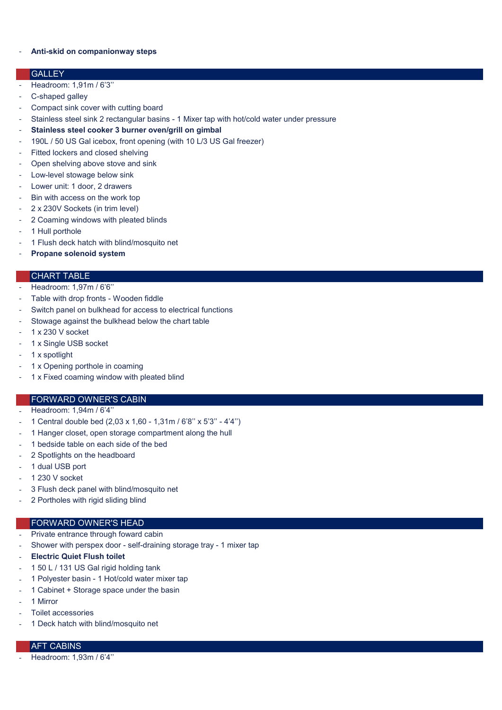### - **Anti-skid on companionway steps**

#### **GALLEY**

- Headroom: 1,91m / 6'3''
- C-shaped galley
- Compact sink cover with cutting board
- Stainless steel sink 2 rectangular basins 1 Mixer tap with hot/cold water under pressure
- **Stainless steel cooker 3 burner oven/grill on gimbal**
- 190L / 50 US Gal icebox, front opening (with 10 L/3 US Gal freezer)
- Fitted lockers and closed shelving
- Open shelving above stove and sink
- Low-level stowage below sink
- Lower unit: 1 door, 2 drawers
- Bin with access on the work top
- 2 x 230V Sockets (in trim level)
- 2 Coaming windows with pleated blinds
- 1 Hull porthole
- 1 Flush deck hatch with blind/mosquito net
- **Propane solenoid system**

# CHART TABLE

- Headroom: 1,97m / 6'6"
- Table with drop fronts Wooden fiddle
- Switch panel on bulkhead for access to electrical functions
- Stowage against the bulkhead below the chart table
- 1 x 230 V socket
- 1 x Single USB socket
- 1 x spotlight
- 1 x Opening porthole in coaming
- 1 x Fixed coaming window with pleated blind

#### FORWARD OWNER'S CABIN

- Headroom: 1,94m / 6'4"
- 1 Central double bed (2,03 x 1,60 1,31m / 6'8'' x 5'3'' 4'4'')
- 1 Hanger closet, open storage compartment along the hull
- 1 bedside table on each side of the bed
- 2 Spotlights on the headboard
- 1 dual USB port
- 1 230 V socket
- 3 Flush deck panel with blind/mosquito net
- 2 Portholes with rigid sliding blind

# FORWARD OWNER'S HEAD

- Private entrance through foward cabin
- Shower with perspex door self-draining storage tray 1 mixer tap
- **Electric Quiet Flush toilet**
- 1 50 L / 131 US Gal rigid holding tank
- 1 Polyester basin 1 Hot/cold water mixer tap
- 1 Cabinet + Storage space under the basin
- 1 Mirror
- Toilet accessories
- 1 Deck hatch with blind/mosquito net

# AFT CABINS

- Headroom: 1,93m / 6'4''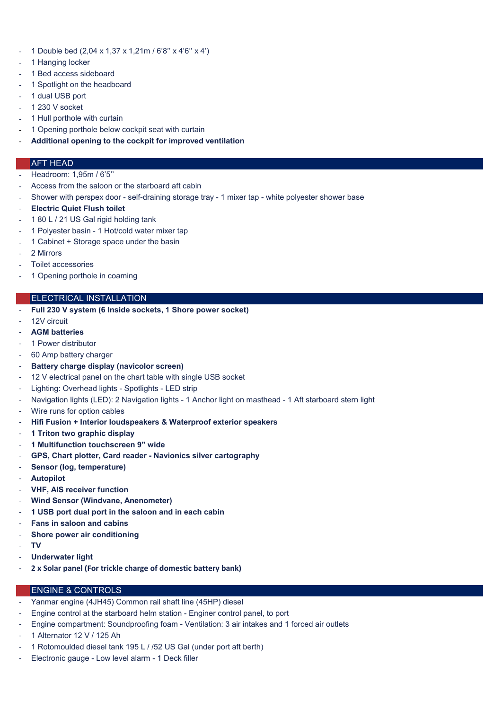- 1 Double bed (2,04 x 1,37 x 1,21m / 6'8'' x 4'6'' x 4')
- 1 Hanging locker
- 1 Bed access sideboard
- 1 Spotlight on the headboard
- 1 dual USB port
- 1 230 V socket
- 1 Hull porthole with curtain
- 1 Opening porthole below cockpit seat with curtain
- **Additional opening to the cockpit for improved ventilation**

### AFT HEAD

- Headroom: 1,95m / 6'5''
- Access from the saloon or the starboard aft cabin
- Shower with perspex door self-draining storage tray 1 mixer tap white polyester shower base
- **Electric Quiet Flush toilet**
- 1 80 L / 21 US Gal rigid holding tank
- 1 Polyester basin 1 Hot/cold water mixer tap
- 1 Cabinet + Storage space under the basin
- 2 Mirrors
- Toilet accessories
- 1 Opening porthole in coaming

## ELECTRICAL INSTALLATION

- **Full 230 V system (6 Inside sockets, 1 Shore power socket)**
- 12V circuit
- **AGM batteries**
- 1 Power distributor
- 60 Amp battery charger
- **Battery charge display (navicolor screen)**
- 12 V electrical panel on the chart table with single USB socket
- Lighting: Overhead lights Spotlights LED strip
- Navigation lights (LED): 2 Navigation lights 1 Anchor light on masthead 1 Aft starboard stern light
- Wire runs for option cables
- **Hifi Fusion + Interior loudspeakers & Waterproof exterior speakers**
- **1 Triton two graphic display**
- **1 Multifunction touchscreen 9" wide**
- **GPS, Chart plotter, Card reader Navionics silver cartography**
- **Sensor (log, temperature)**
- **Autopilot**
- **VHF, AIS receiver function**
- **Wind Sensor (Windvane, Anenometer)**
- **1 USB port dual port in the saloon and in each cabin**
- **Fans in saloon and cabins**
- **Shore power air conditioning**
- **TV**
- **Underwater light**
- **2 x Solar panel (For trickle charge of domestic battery bank)**

### ENGINE & CONTROLS

- Yanmar engine (4JH45) Common rail shaft line (45HP) diesel
- Engine control at the starboard helm station Enginer control panel, to port
- Engine compartment: Soundproofing foam Ventilation: 3 air intakes and 1 forced air outlets
- 1 Alternator 12 V / 125 Ah
- 1 Rotomoulded diesel tank 195 L / /52 US Gal (under port aft berth)
- Electronic gauge Low level alarm 1 Deck filler